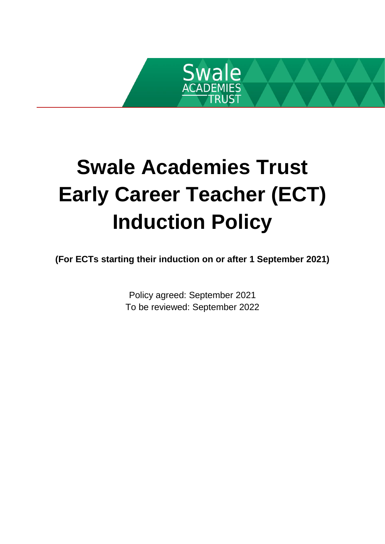

# **Swale Academies Trust Early Career Teacher (ECT) Induction Policy**

**(For ECTs starting their induction on or after 1 September 2021)**

Policy agreed: September 2021 To be reviewed: September 2022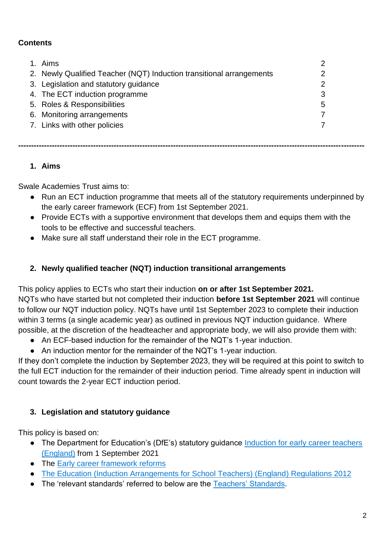## **Contents**

| 1. Aims                                                              |   |
|----------------------------------------------------------------------|---|
| 2. Newly Qualified Teacher (NQT) Induction transitional arrangements |   |
| 3. Legislation and statutory guidance                                | 2 |
| 4. The ECT induction programme                                       | 3 |
| 5. Roles & Responsibilities                                          | 5 |
| 6. Monitoring arrangements                                           |   |
| 7. Links with other policies                                         |   |
|                                                                      |   |
|                                                                      |   |

# **1. Aims**

Swale Academies Trust aims to:

- Run an ECT induction programme that meets all of the statutory requirements underpinned by the early career framework (ECF) from 1st September 2021.
- Provide ECTs with a supportive environment that develops them and equips them with the tools to be effective and successful teachers.
- Make sure all staff understand their role in the ECT programme.

## **2. Newly qualified teacher (NQT) induction transitional arrangements**

This policy applies to ECTs who start their induction **on or after 1st September 2021.**  NQTs who have started but not completed their induction **before 1st September 2021** will continue to follow our NQT induction policy. NQTs have until 1st September 2023 to complete their induction within 3 terms (a single academic year) as outlined in previous NQT induction guidance. Where possible, at the discretion of the headteacher and appropriate body, we will also provide them with:

- An ECF-based induction for the remainder of the NQT's 1-year induction.
- An induction mentor for the remainder of the NQT's 1-year induction.

If they don't complete the induction by September 2023, they will be required at this point to switch to the full ECT induction for the remainder of their induction period. Time already spent in induction will count towards the 2-year ECT induction period.

### **3. Legislation and statutory guidance**

This policy is based on:

- The Department for Education's (DfE's) statutory guidance Induction for early career teachers [\(England\)](https://www.gov.uk/government/publications/induction-for-early-career-teachers-england) from 1 September 2021
- The [Early career framework reforms](https://www.gov.uk/government/collections/early-career-framework-reforms)
- [The Education \(Induction Arrangements for School Teachers\) \(England\) Regulations 2012](http://www.legislation.gov.uk/uksi/2012/1115/contents/made)
- The 'relevant standards' referred to below are th[e](https://www.gov.uk/government/publications/teachers-standards) [Teachers' Standards.](https://www.gov.uk/government/publications/teachers-standards)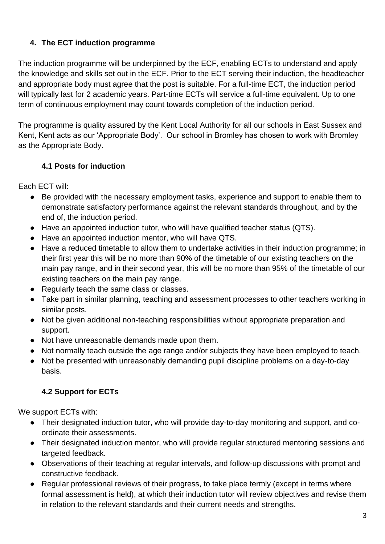# **4. The ECT induction programme**

The induction programme will be underpinned by the ECF, enabling ECTs to understand and apply the knowledge and skills set out in the ECF. Prior to the ECT serving their induction, the headteacher and appropriate body must agree that the post is suitable. For a full-time ECT, the induction period will typically last for 2 academic years. Part-time ECTs will service a full-time equivalent. Up to one term of continuous employment may count towards completion of the induction period.

The programme is quality assured by the Kent Local Authority for all our schools in East Sussex and Kent, Kent acts as our 'Appropriate Body'. Our school in Bromley has chosen to work with Bromley as the Appropriate Body.

### **4.1 Posts for induction**

Each ECT will:

- Be provided with the necessary employment tasks, experience and support to enable them to demonstrate satisfactory performance against the relevant standards throughout, and by the end of, the induction period.
- Have an appointed induction tutor, who will have qualified teacher status (QTS).
- Have an appointed induction mentor, who will have QTS.
- Have a reduced timetable to allow them to undertake activities in their induction programme; in their first year this will be no more than 90% of the timetable of our existing teachers on the main pay range, and in their second year, this will be no more than 95% of the timetable of our existing teachers on the main pay range.
- Regularly teach the same class or classes.
- Take part in similar planning, teaching and assessment processes to other teachers working in similar posts.
- Not be given additional non-teaching responsibilities without appropriate preparation and support.
- Not have unreasonable demands made upon them.
- Not normally teach outside the age range and/or subjects they have been employed to teach.
- Not be presented with unreasonably demanding pupil discipline problems on a day-to-day basis.

# **4.2 Support for ECTs**

We support ECTs with:

- Their designated induction tutor, who will provide day-to-day monitoring and support, and coordinate their assessments.
- Their designated induction mentor, who will provide regular structured mentoring sessions and targeted feedback.
- Observations of their teaching at regular intervals, and follow-up discussions with prompt and constructive feedback.
- Regular professional reviews of their progress, to take place termly (except in terms where formal assessment is held), at which their induction tutor will review objectives and revise them in relation to the relevant standards and their current needs and strengths.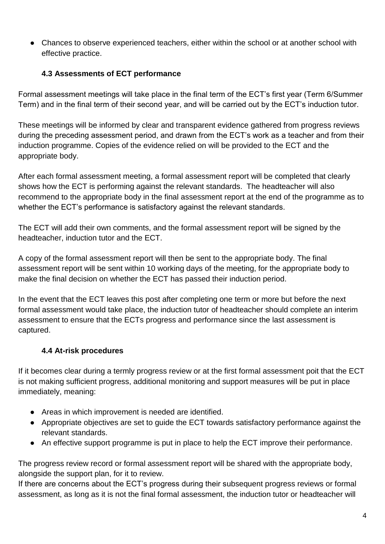● Chances to observe experienced teachers, either within the school or at another school with effective practice.

## **4.3 Assessments of ECT performance**

Formal assessment meetings will take place in the final term of the ECT's first year (Term 6/Summer Term) and in the final term of their second year, and will be carried out by the ECT's induction tutor.

These meetings will be informed by clear and transparent evidence gathered from progress reviews during the preceding assessment period, and drawn from the ECT's work as a teacher and from their induction programme. Copies of the evidence relied on will be provided to the ECT and the appropriate body.

After each formal assessment meeting, a formal assessment report will be completed that clearly shows how the ECT is performing against the relevant standards. The headteacher will also recommend to the appropriate body in the final assessment report at the end of the programme as to whether the ECT's performance is satisfactory against the relevant standards.

The ECT will add their own comments, and the formal assessment report will be signed by the headteacher, induction tutor and the ECT.

A copy of the formal assessment report will then be sent to the appropriate body. The final assessment report will be sent within 10 working days of the meeting, for the appropriate body to make the final decision on whether the ECT has passed their induction period.

In the event that the ECT leaves this post after completing one term or more but before the next formal assessment would take place, the induction tutor of headteacher should complete an interim assessment to ensure that the ECTs progress and performance since the last assessment is captured.

# **4.4 At-risk procedures**

If it becomes clear during a termly progress review or at the first formal assessment poit that the ECT is not making sufficient progress, additional monitoring and support measures will be put in place immediately, meaning:

- Areas in which improvement is needed are identified.
- Appropriate objectives are set to guide the ECT towards satisfactory performance against the relevant standards.
- An effective support programme is put in place to help the ECT improve their performance.

The progress review record or formal assessment report will be shared with the appropriate body, alongside the support plan, for it to review.

If there are concerns about the ECT's progress during their subsequent progress reviews or formal assessment, as long as it is not the final formal assessment, the induction tutor or headteacher will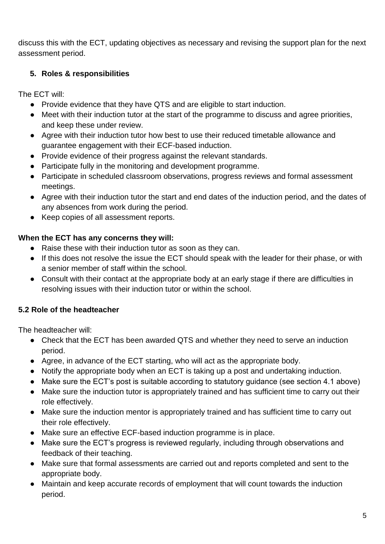discuss this with the ECT, updating objectives as necessary and revising the support plan for the next assessment period.

## **5. Roles & responsibilities**

The ECT will:

- Provide evidence that they have QTS and are eligible to start induction.
- Meet with their induction tutor at the start of the programme to discuss and agree priorities, and keep these under review.
- Agree with their induction tutor how best to use their reduced timetable allowance and guarantee engagement with their ECF-based induction.
- Provide evidence of their progress against the relevant standards.
- Participate fully in the monitoring and development programme.
- Participate in scheduled classroom observations, progress reviews and formal assessment meetings.
- Agree with their induction tutor the start and end dates of the induction period, and the dates of any absences from work during the period.
- Keep copies of all assessment reports.

### **When the ECT has any concerns they will:**

- Raise these with their induction tutor as soon as they can.
- If this does not resolve the issue the ECT should speak with the leader for their phase, or with a senior member of staff within the school.
- Consult with their contact at the appropriate body at an early stage if there are difficulties in resolving issues with their induction tutor or within the school.

### **5.2 Role of the headteacher**

The headteacher will:

- Check that the ECT has been awarded QTS and whether they need to serve an induction period.
- Agree, in advance of the ECT starting, who will act as the appropriate body.
- Notify the appropriate body when an ECT is taking up a post and undertaking induction.
- Make sure the ECT's post is suitable according to statutory guidance (see section 4.1 above)
- Make sure the induction tutor is appropriately trained and has sufficient time to carry out their role effectively.
- Make sure the induction mentor is appropriately trained and has sufficient time to carry out their role effectively.
- Make sure an effective ECF-based induction programme is in place.
- Make sure the ECT's progress is reviewed regularly, including through observations and feedback of their teaching.
- Make sure that formal assessments are carried out and reports completed and sent to the appropriate body.
- Maintain and keep accurate records of employment that will count towards the induction period.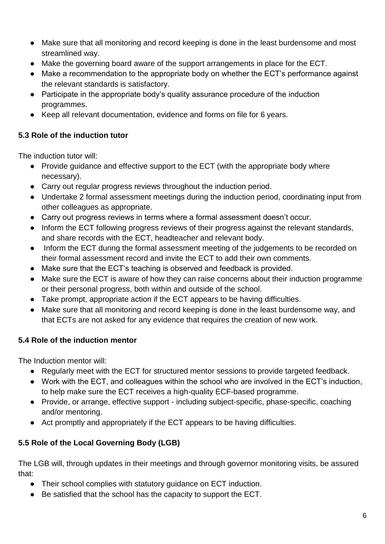- Make sure that all monitoring and record keeping is done in the least burdensome and most streamlined way.
- Make the governing board aware of the support arrangements in place for the ECT.
- Make a recommendation to the appropriate body on whether the ECT's performance against the relevant standards is satisfactory.
- Participate in the appropriate body's quality assurance procedure of the induction programmes.
- Keep all relevant documentation, evidence and forms on file for 6 years.

## **5.3 Role of the induction tutor**

The induction tutor will:

- Provide guidance and effective support to the ECT (with the appropriate body where necessary).
- Carry out regular progress reviews throughout the induction period.
- Undertake 2 formal assessment meetings during the induction period, coordinating input from other colleagues as appropriate.
- Carry out progress reviews in terms where a formal assessment doesn't occur.
- Inform the ECT following progress reviews of their progress against the relevant standards, and share records with the ECT, headteacher and relevant body.
- Inform the ECT during the formal assessment meeting of the judgements to be recorded on their formal assessment record and invite the ECT to add their own comments.
- Make sure that the ECT's teaching is observed and feedback is provided.
- Make sure the ECT is aware of how they can raise concerns about their induction programme or their personal progress, both within and outside of the school.
- Take prompt, appropriate action if the ECT appears to be having difficulties.
- Make sure that all monitoring and record keeping is done in the least burdensome way, and that ECTs are not asked for any evidence that requires the creation of new work.

### **5.4 Role of the induction mentor**

The Induction mentor will:

- Regularly meet with the ECT for structured mentor sessions to provide targeted feedback.
- Work with the ECT, and colleagues within the school who are involved in the ECT's induction, to help make sure the ECT receives a high-quality ECF-based programme.
- Provide, or arrange, effective support including subject-specific, phase-specific, coaching and/or mentoring.
- Act promptly and appropriately if the ECT appears to be having difficulties.

# **5.5 Role of the Local Governing Body (LGB)**

The LGB will, through updates in their meetings and through governor monitoring visits, be assured that:

- Their school complies with statutory guidance on ECT induction.
- Be satisfied that the school has the capacity to support the ECT.